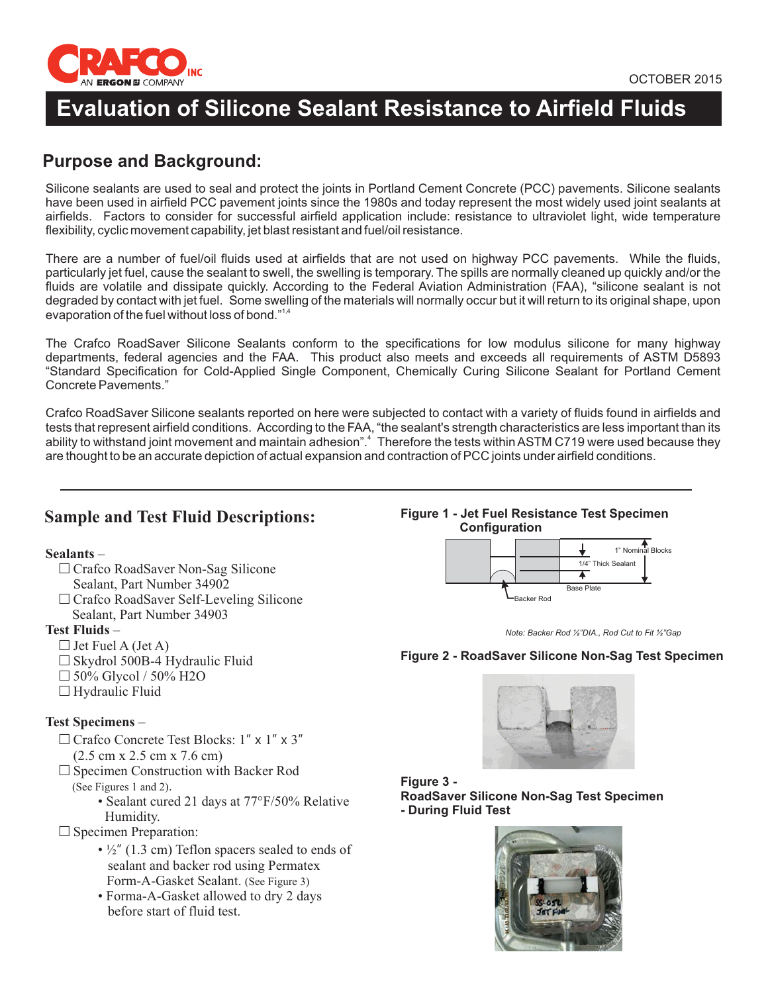

# **Evaluation of Silicone Sealant Resistance to Airfield Fluids**

# **Purpose and Background:**

Silicone sealants are used to seal and protect the joints in Portland Cement Concrete (PCC) pavements. Silicone sealants have been used in airfield PCC pavement joints since the 1980s and today represent the most widely used joint sealants at airfields. Factors to consider for successful airfield application include: resistance to ultraviolet light, wide temperature flexibility, cyclic movement capability, jet blast resistant and fuel/oil resistance.

There are a number of fuel/oil fluids used at airfields that are not used on highway PCC pavements. While the fluids, particularly jet fuel, cause the sealant to swell, the swelling is temporary. The spills are normally cleaned up quickly and/or the fluids are volatile and dissipate quickly. According to the Federal Aviation Administration (FAA), "silicone sealant is not degraded by contact with jet fuel. Some swelling of the materials will normally occur but it will return to its original shape, upon evaporation of the fuel without loss of bond."<sup>1,4</sup>

The Crafco RoadSaver Silicone Sealants conform to the specifications for low modulus silicone for many highway departments, federal agencies and the FAA. This product also meets and exceeds all requirements of ASTM D5893 "Standard Specification for Cold-Applied Single Component, Chemically Curing Silicone Sealant for Portland Cement Concrete Pavements."

Crafco RoadSaver Silicone sealants reported on here were subjected to contact with a variety of fluids found in airfields and tests that represent airfield conditions. According to the FAA, "the sealant's strength characteristics are less important than its ability to withstand joint movement and maintain adhesion".<sup>4</sup> Therefore the tests within ASTM C719 were used because they are thought to be an accurate depiction of actual expansion and contraction of PCC joints under airfield conditions.

## **Sample and Test Fluid Descriptions:**

### **Sealants** –

- □ Crafco RoadSaver Non-Sag Silicone Sealant, Part Number 34902
- □ Crafco RoadSaver Self-Leveling Silicone Sealant, Part Number 34903

### **Test Fluids** –

- $\Box$  Jet Fuel A (Jet A)
- □ Skydrol 500B-4 Hydraulic Fluid
- $\Box$  50% Glycol / 50% H2O
- $\Box$  Hydraulic Fluid

## **Test Specimens** –

- $\Box$  Crafco Concrete Test Blocks:  $1'' \times 1'' \times 3''$ (2.5 cm x 2.5 cm x 7.6 cm)
- □ Specimen Construction with Backer Rod
	- . (See Figures 1 and 2)
		- Sealant cured 21 days at 77°F/50% Relative Humidity.
- $\square$  Specimen Preparation:
	- $\cdot$  1/2" (1.3 cm) Teflon spacers sealed to ends of sealant and backer rod using Permatex Form-A-Gasket Sealant. (See Figure 3)
	- Forma-A-Gasket allowed to dry 2 days before start of fluid test.

**Figure 1 - Jet Fuel Resistance Test Specimen Configuration**





#### **Figure 2 - RoadSaver Silicone Non-Sag Test Specimen**



**Figure 3 - RoadSaver Silicone Non-Sag Test Specimen - During Fluid Test**